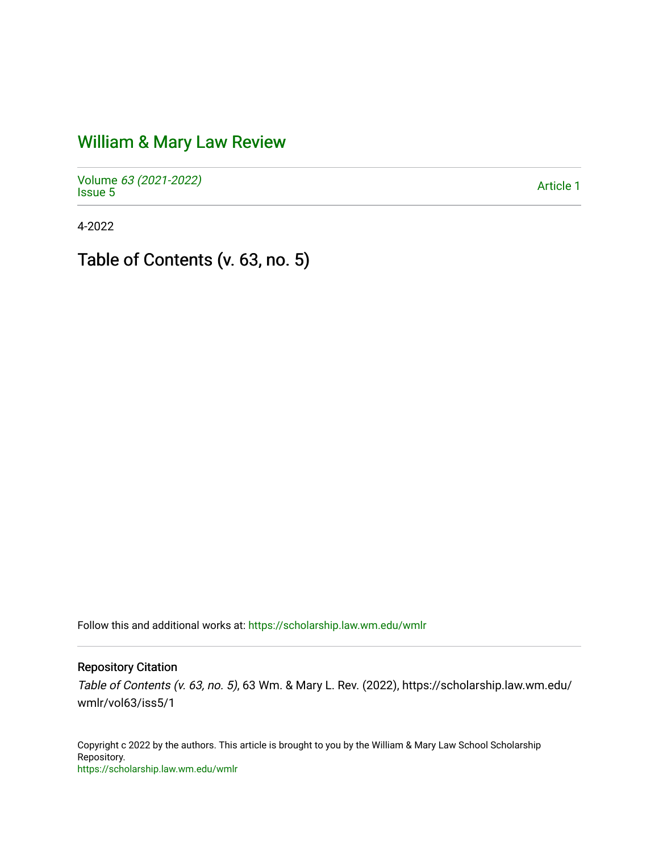## [William & Mary Law Review](https://scholarship.law.wm.edu/wmlr)

Volume [63 \(2021-2022\)](https://scholarship.law.wm.edu/wmlr/vol63)  volume os (2027-2022)<br>[Issue 5](https://scholarship.law.wm.edu/wmlr/vol63/iss5) Article 1

4-2022

Table of Contents (v. 63, no. 5)

Follow this and additional works at: [https://scholarship.law.wm.edu/wmlr](https://scholarship.law.wm.edu/wmlr?utm_source=scholarship.law.wm.edu%2Fwmlr%2Fvol63%2Fiss5%2F1&utm_medium=PDF&utm_campaign=PDFCoverPages)

Repository Citation

Table of Contents (v. 63, no. 5), 63 Wm. & Mary L. Rev. (2022), https://scholarship.law.wm.edu/ wmlr/vol63/iss5/1

Copyright c 2022 by the authors. This article is brought to you by the William & Mary Law School Scholarship Repository. <https://scholarship.law.wm.edu/wmlr>